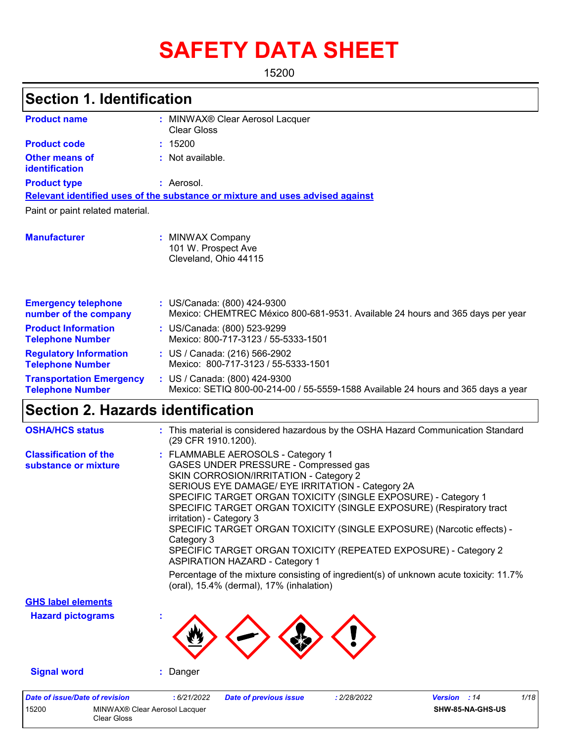# **SAFETY DATA SHEET**

15200

| <b>Section 1. Identification</b>                           |                                                                                                                                                                                                                                                                                                                                                                                                                                                                                                                                                                                                                                                                                       |
|------------------------------------------------------------|---------------------------------------------------------------------------------------------------------------------------------------------------------------------------------------------------------------------------------------------------------------------------------------------------------------------------------------------------------------------------------------------------------------------------------------------------------------------------------------------------------------------------------------------------------------------------------------------------------------------------------------------------------------------------------------|
| <b>Product name</b>                                        | : MINWAX® Clear Aerosol Lacquer<br><b>Clear Gloss</b>                                                                                                                                                                                                                                                                                                                                                                                                                                                                                                                                                                                                                                 |
| <b>Product code</b>                                        | : 15200                                                                                                                                                                                                                                                                                                                                                                                                                                                                                                                                                                                                                                                                               |
| <b>Other means of</b><br>identification                    | : Not available.                                                                                                                                                                                                                                                                                                                                                                                                                                                                                                                                                                                                                                                                      |
| <b>Product type</b>                                        | : Aerosol.                                                                                                                                                                                                                                                                                                                                                                                                                                                                                                                                                                                                                                                                            |
|                                                            | Relevant identified uses of the substance or mixture and uses advised against                                                                                                                                                                                                                                                                                                                                                                                                                                                                                                                                                                                                         |
| Paint or paint related material.                           |                                                                                                                                                                                                                                                                                                                                                                                                                                                                                                                                                                                                                                                                                       |
| <b>Manufacturer</b>                                        | : MINWAX Company<br>101 W. Prospect Ave<br>Cleveland, Ohio 44115                                                                                                                                                                                                                                                                                                                                                                                                                                                                                                                                                                                                                      |
| <b>Emergency telephone</b><br>number of the company        | : US/Canada: (800) 424-9300<br>Mexico: CHEMTREC México 800-681-9531. Available 24 hours and 365 days per year                                                                                                                                                                                                                                                                                                                                                                                                                                                                                                                                                                         |
| <b>Product Information</b><br><b>Telephone Number</b>      | : US/Canada: (800) 523-9299<br>Mexico: 800-717-3123 / 55-5333-1501                                                                                                                                                                                                                                                                                                                                                                                                                                                                                                                                                                                                                    |
| <b>Regulatory Information</b><br><b>Telephone Number</b>   | : US / Canada: (216) 566-2902<br>Mexico: 800-717-3123 / 55-5333-1501                                                                                                                                                                                                                                                                                                                                                                                                                                                                                                                                                                                                                  |
| <b>Transportation Emergency</b><br><b>Telephone Number</b> | : US / Canada: (800) 424-9300<br>Mexico: SETIQ 800-00-214-00 / 55-5559-1588 Available 24 hours and 365 days a year                                                                                                                                                                                                                                                                                                                                                                                                                                                                                                                                                                    |
| <b>Section 2. Hazards identification</b>                   |                                                                                                                                                                                                                                                                                                                                                                                                                                                                                                                                                                                                                                                                                       |
| <b>OSHA/HCS status</b>                                     | : This material is considered hazardous by the OSHA Hazard Communication Standard<br>(29 CFR 1910.1200).                                                                                                                                                                                                                                                                                                                                                                                                                                                                                                                                                                              |
| <b>Classification of the</b><br>substance or mixture       | : FLAMMABLE AEROSOLS - Category 1<br>GASES UNDER PRESSURE - Compressed gas<br>SKIN CORROSION/IRRITATION - Category 2<br>SERIOUS EYE DAMAGE/ EYE IRRITATION - Category 2A<br>SPECIFIC TARGET ORGAN TOXICITY (SINGLE EXPOSURE) - Category 1<br>SPECIFIC TARGET ORGAN TOXICITY (SINGLE EXPOSURE) (Respiratory tract<br>irritation) - Category 3<br>SPECIFIC TARGET ORGAN TOXICITY (SINGLE EXPOSURE) (Narcotic effects) -<br>Category 3<br>SPECIFIC TARGET ORGAN TOXICITY (REPEATED EXPOSURE) - Category 2<br><b>ASPIRATION HAZARD - Category 1</b><br>Percentage of the mixture consisting of ingredient(s) of unknown acute toxicity: 11.7%<br>(oral), 15.4% (dermal), 17% (inhalation) |

**Hazard pictograms : GHS label elements**

15200 MINWAX® Clear Aerosol Lacquer Clear Gloss

**Signal word :** Danger

*Date of issue/Date of revision* **:** *6/21/2022 Date of previous issue : 2/28/2022 Version : 14 1/18*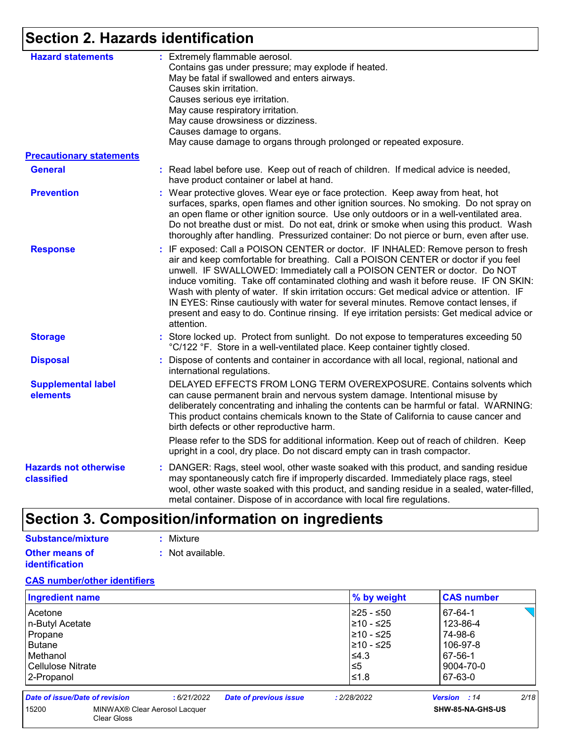# **Section 2. Hazards identification**

| <b>Hazard statements</b>                          | : Extremely flammable aerosol.<br>Contains gas under pressure; may explode if heated.<br>May be fatal if swallowed and enters airways.<br>Causes skin irritation.<br>Causes serious eye irritation.<br>May cause respiratory irritation.<br>May cause drowsiness or dizziness.<br>Causes damage to organs.<br>May cause damage to organs through prolonged or repeated exposure.                                                                                                                                                                                                                                                             |
|---------------------------------------------------|----------------------------------------------------------------------------------------------------------------------------------------------------------------------------------------------------------------------------------------------------------------------------------------------------------------------------------------------------------------------------------------------------------------------------------------------------------------------------------------------------------------------------------------------------------------------------------------------------------------------------------------------|
| <b>Precautionary statements</b><br><b>General</b> | : Read label before use. Keep out of reach of children. If medical advice is needed,<br>have product container or label at hand.                                                                                                                                                                                                                                                                                                                                                                                                                                                                                                             |
| <b>Prevention</b>                                 | : Wear protective gloves. Wear eye or face protection. Keep away from heat, hot<br>surfaces, sparks, open flames and other ignition sources. No smoking. Do not spray on<br>an open flame or other ignition source. Use only outdoors or in a well-ventilated area.<br>Do not breathe dust or mist. Do not eat, drink or smoke when using this product. Wash<br>thoroughly after handling. Pressurized container: Do not pierce or burn, even after use.                                                                                                                                                                                     |
| <b>Response</b>                                   | : IF exposed: Call a POISON CENTER or doctor. IF INHALED: Remove person to fresh<br>air and keep comfortable for breathing. Call a POISON CENTER or doctor if you feel<br>unwell. IF SWALLOWED: Immediately call a POISON CENTER or doctor. Do NOT<br>induce vomiting. Take off contaminated clothing and wash it before reuse. IF ON SKIN:<br>Wash with plenty of water. If skin irritation occurs: Get medical advice or attention. IF<br>IN EYES: Rinse cautiously with water for several minutes. Remove contact lenses, if<br>present and easy to do. Continue rinsing. If eye irritation persists: Get medical advice or<br>attention. |
| <b>Storage</b>                                    | : Store locked up. Protect from sunlight. Do not expose to temperatures exceeding 50<br>°C/122 °F. Store in a well-ventilated place. Keep container tightly closed.                                                                                                                                                                                                                                                                                                                                                                                                                                                                          |
| <b>Disposal</b>                                   | : Dispose of contents and container in accordance with all local, regional, national and<br>international regulations.                                                                                                                                                                                                                                                                                                                                                                                                                                                                                                                       |
| <b>Supplemental label</b><br>elements             | DELAYED EFFECTS FROM LONG TERM OVEREXPOSURE. Contains solvents which<br>can cause permanent brain and nervous system damage. Intentional misuse by<br>deliberately concentrating and inhaling the contents can be harmful or fatal. WARNING:<br>This product contains chemicals known to the State of California to cause cancer and<br>birth defects or other reproductive harm.                                                                                                                                                                                                                                                            |
|                                                   | Please refer to the SDS for additional information. Keep out of reach of children. Keep<br>upright in a cool, dry place. Do not discard empty can in trash compactor.                                                                                                                                                                                                                                                                                                                                                                                                                                                                        |
| <b>Hazards not otherwise</b><br>classified        | : DANGER: Rags, steel wool, other waste soaked with this product, and sanding residue<br>may spontaneously catch fire if improperly discarded. Immediately place rags, steel<br>wool, other waste soaked with this product, and sanding residue in a sealed, water-filled,<br>metal container. Dispose of in accordance with local fire regulations.                                                                                                                                                                                                                                                                                         |

# **Section 3. Composition/information on ingredients**

| Substance/mixture     | : Mixture        |
|-----------------------|------------------|
| <b>Other means of</b> | : Not available. |
| <b>identification</b> |                  |

15200 MINWAX® Clear Aerosol Lacquer Clear Gloss

#### **CAS number/other identifiers**

| <b>Ingredient name</b>         |            |                               | % by weight | <b>CAS number</b>   |      |
|--------------------------------|------------|-------------------------------|-------------|---------------------|------|
| Acetone                        |            |                               | 225 - ≤50   | 67-64-1             |      |
| n-Butyl Acetate                |            |                               | 210 - ≤25   | 123-86-4            |      |
| Propane                        |            |                               | 210 - ≤25   | 74-98-6             |      |
| Butane                         |            |                               | 210 - ≤25   | 106-97-8            |      |
| Methanol                       |            |                               | $\leq 4.3$  | 67-56-1             |      |
| Cellulose Nitrate              |            |                               | ∣≤5         | 9004-70-0           |      |
| 2-Propanol                     |            |                               | 1≤1.8       | 67-63-0             |      |
| Date of issue/Date of revision | :6/21/2022 | <b>Date of previous issue</b> | : 2/28/2022 | <b>Version</b> : 14 | 2/18 |

**SHW-85-NA-GHS-US**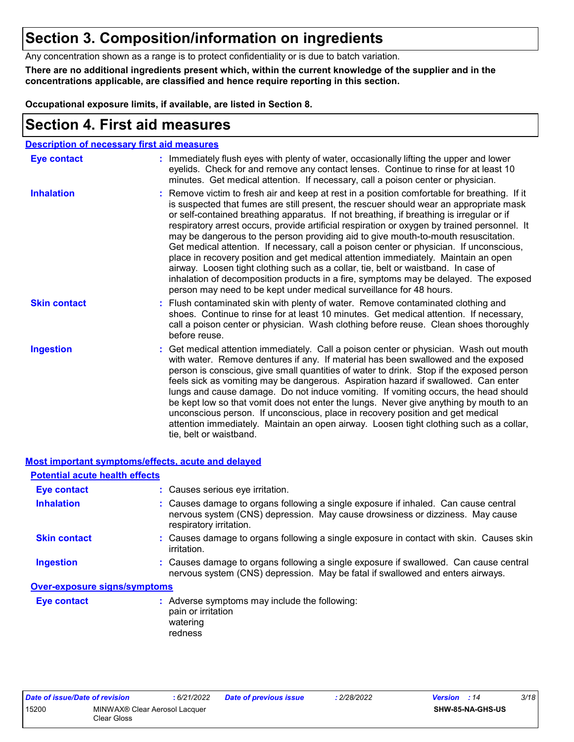## **Section 3. Composition/information on ingredients**

Any concentration shown as a range is to protect confidentiality or is due to batch variation.

**There are no additional ingredients present which, within the current knowledge of the supplier and in the concentrations applicable, are classified and hence require reporting in this section.**

**Occupational exposure limits, if available, are listed in Section 8.**

### **Section 4. First aid measures**

|                     | <b>Description of necessary first aid measures</b>                                                                                                                                                                                                                                                                                                                                                                                                                                                                                                                                                                                                                                                                                                                                                                                                                                                             |
|---------------------|----------------------------------------------------------------------------------------------------------------------------------------------------------------------------------------------------------------------------------------------------------------------------------------------------------------------------------------------------------------------------------------------------------------------------------------------------------------------------------------------------------------------------------------------------------------------------------------------------------------------------------------------------------------------------------------------------------------------------------------------------------------------------------------------------------------------------------------------------------------------------------------------------------------|
| <b>Eye contact</b>  | : Immediately flush eyes with plenty of water, occasionally lifting the upper and lower<br>eyelids. Check for and remove any contact lenses. Continue to rinse for at least 10<br>minutes. Get medical attention. If necessary, call a poison center or physician.                                                                                                                                                                                                                                                                                                                                                                                                                                                                                                                                                                                                                                             |
| <b>Inhalation</b>   | : Remove victim to fresh air and keep at rest in a position comfortable for breathing. If it<br>is suspected that fumes are still present, the rescuer should wear an appropriate mask<br>or self-contained breathing apparatus. If not breathing, if breathing is irregular or if<br>respiratory arrest occurs, provide artificial respiration or oxygen by trained personnel. It<br>may be dangerous to the person providing aid to give mouth-to-mouth resuscitation.<br>Get medical attention. If necessary, call a poison center or physician. If unconscious,<br>place in recovery position and get medical attention immediately. Maintain an open<br>airway. Loosen tight clothing such as a collar, tie, belt or waistband. In case of<br>inhalation of decomposition products in a fire, symptoms may be delayed. The exposed<br>person may need to be kept under medical surveillance for 48 hours. |
| <b>Skin contact</b> | : Flush contaminated skin with plenty of water. Remove contaminated clothing and<br>shoes. Continue to rinse for at least 10 minutes. Get medical attention. If necessary,<br>call a poison center or physician. Wash clothing before reuse. Clean shoes thoroughly<br>before reuse.                                                                                                                                                                                                                                                                                                                                                                                                                                                                                                                                                                                                                           |
| <b>Ingestion</b>    | : Get medical attention immediately. Call a poison center or physician. Wash out mouth<br>with water. Remove dentures if any. If material has been swallowed and the exposed<br>person is conscious, give small quantities of water to drink. Stop if the exposed person<br>feels sick as vomiting may be dangerous. Aspiration hazard if swallowed. Can enter<br>lungs and cause damage. Do not induce vomiting. If vomiting occurs, the head should<br>be kept low so that vomit does not enter the lungs. Never give anything by mouth to an<br>unconscious person. If unconscious, place in recovery position and get medical<br>attention immediately. Maintain an open airway. Loosen tight clothing such as a collar,<br>tie, belt or waistband.                                                                                                                                                        |

|                                       | Most important symptoms/effects, acute and delayed                                                                                                                                              |
|---------------------------------------|-------------------------------------------------------------------------------------------------------------------------------------------------------------------------------------------------|
| <b>Potential acute health effects</b> |                                                                                                                                                                                                 |
| Eye contact                           | : Causes serious eye irritation.                                                                                                                                                                |
| <b>Inhalation</b>                     | : Causes damage to organs following a single exposure if inhaled. Can cause central<br>nervous system (CNS) depression. May cause drowsiness or dizziness. May cause<br>respiratory irritation. |
| <b>Skin contact</b>                   | : Causes damage to organs following a single exposure in contact with skin. Causes skin<br>irritation.                                                                                          |
| <b>Ingestion</b>                      | : Causes damage to organs following a single exposure if swallowed. Can cause central<br>nervous system (CNS) depression. May be fatal if swallowed and enters airways.                         |
| <b>Over-exposure signs/symptoms</b>   |                                                                                                                                                                                                 |
| <b>Eye contact</b>                    | : Adverse symptoms may include the following:<br>pain or irritation<br>watering<br>redness                                                                                                      |

| Date of issue/Date of revision |                                              | : 6/21/2022 | <b>Date of previous issue</b> | 2/28/2022 | <b>Version</b> : 14 |                  | 3/18 |
|--------------------------------|----------------------------------------------|-------------|-------------------------------|-----------|---------------------|------------------|------|
| 15200                          | MINWAX® Clear Aerosol Lacquer<br>Clear Gloss |             |                               |           |                     | SHW-85-NA-GHS-US |      |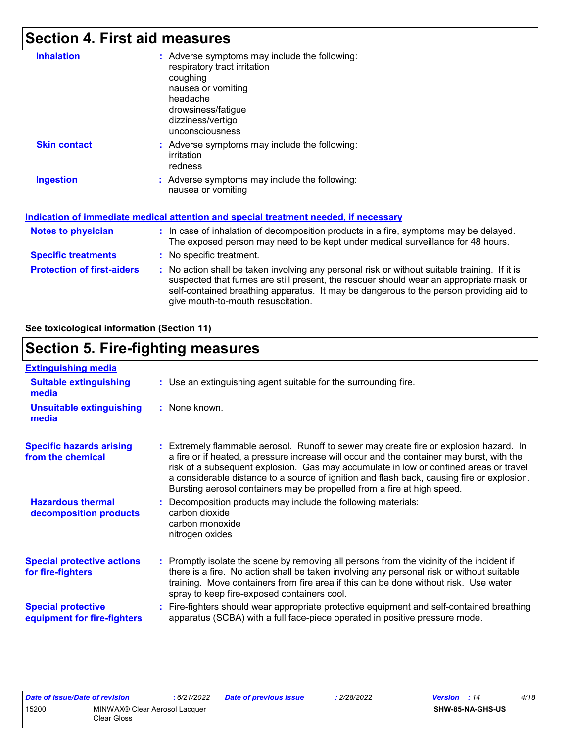### **Section 4. First aid measures**

| <b>Inhalation</b>                 | : Adverse symptoms may include the following:<br>respiratory tract irritation<br>coughing<br>nausea or vomiting<br>headache<br>drowsiness/fatigue<br>dizziness/vertigo<br>unconsciousness                                                                                                                               |
|-----------------------------------|-------------------------------------------------------------------------------------------------------------------------------------------------------------------------------------------------------------------------------------------------------------------------------------------------------------------------|
| <b>Skin contact</b>               | : Adverse symptoms may include the following:<br>irritation<br>redness                                                                                                                                                                                                                                                  |
| <b>Ingestion</b>                  | : Adverse symptoms may include the following:<br>nausea or vomiting<br>Indication of immediate medical attention and special treatment needed, if necessary                                                                                                                                                             |
| <b>Notes to physician</b>         | : In case of inhalation of decomposition products in a fire, symptoms may be delayed.<br>The exposed person may need to be kept under medical surveillance for 48 hours.                                                                                                                                                |
| <b>Specific treatments</b>        | : No specific treatment.                                                                                                                                                                                                                                                                                                |
| <b>Protection of first-aiders</b> | : No action shall be taken involving any personal risk or without suitable training. If it is<br>suspected that fumes are still present, the rescuer should wear an appropriate mask or<br>self-contained breathing apparatus. It may be dangerous to the person providing aid to<br>give mouth-to-mouth resuscitation. |

**See toxicological information (Section 11)**

## **Section 5. Fire-fighting measures**

| <b>Extinguishing media</b>                               |                                                                                                                                                                                                                                                                                                                                                                                                                                                       |
|----------------------------------------------------------|-------------------------------------------------------------------------------------------------------------------------------------------------------------------------------------------------------------------------------------------------------------------------------------------------------------------------------------------------------------------------------------------------------------------------------------------------------|
| <b>Suitable extinguishing</b><br>media                   | : Use an extinguishing agent suitable for the surrounding fire.                                                                                                                                                                                                                                                                                                                                                                                       |
| <b>Unsuitable extinguishing</b><br>media                 | : None known.                                                                                                                                                                                                                                                                                                                                                                                                                                         |
| <b>Specific hazards arising</b><br>from the chemical     | : Extremely flammable aerosol. Runoff to sewer may create fire or explosion hazard. In<br>a fire or if heated, a pressure increase will occur and the container may burst, with the<br>risk of a subsequent explosion. Gas may accumulate in low or confined areas or travel<br>a considerable distance to a source of ignition and flash back, causing fire or explosion.<br>Bursting aerosol containers may be propelled from a fire at high speed. |
| <b>Hazardous thermal</b><br>decomposition products       | Decomposition products may include the following materials:<br>carbon dioxide<br>carbon monoxide<br>nitrogen oxides                                                                                                                                                                                                                                                                                                                                   |
| <b>Special protective actions</b><br>for fire-fighters   | : Promptly isolate the scene by removing all persons from the vicinity of the incident if<br>there is a fire. No action shall be taken involving any personal risk or without suitable<br>training. Move containers from fire area if this can be done without risk. Use water<br>spray to keep fire-exposed containers cool.                                                                                                                         |
| <b>Special protective</b><br>equipment for fire-fighters | Fire-fighters should wear appropriate protective equipment and self-contained breathing<br>apparatus (SCBA) with a full face-piece operated in positive pressure mode.                                                                                                                                                                                                                                                                                |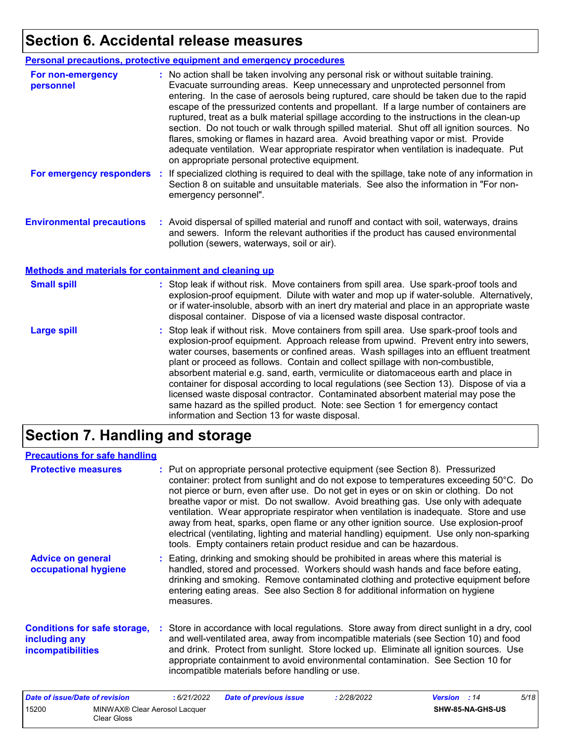# **Section 6. Accidental release measures**

|                                                              | <b>Personal precautions, protective equipment and emergency procedures</b>                                                                                                                                                                                                                                                                                                                                                                                                                                                                                                                                                                                                                                                                                                       |
|--------------------------------------------------------------|----------------------------------------------------------------------------------------------------------------------------------------------------------------------------------------------------------------------------------------------------------------------------------------------------------------------------------------------------------------------------------------------------------------------------------------------------------------------------------------------------------------------------------------------------------------------------------------------------------------------------------------------------------------------------------------------------------------------------------------------------------------------------------|
| For non-emergency<br>personnel                               | : No action shall be taken involving any personal risk or without suitable training.<br>Evacuate surrounding areas. Keep unnecessary and unprotected personnel from<br>entering. In the case of aerosols being ruptured, care should be taken due to the rapid<br>escape of the pressurized contents and propellant. If a large number of containers are<br>ruptured, treat as a bulk material spillage according to the instructions in the clean-up<br>section. Do not touch or walk through spilled material. Shut off all ignition sources. No<br>flares, smoking or flames in hazard area. Avoid breathing vapor or mist. Provide<br>adequate ventilation. Wear appropriate respirator when ventilation is inadequate. Put<br>on appropriate personal protective equipment. |
| For emergency responders                                     | : If specialized clothing is required to deal with the spillage, take note of any information in<br>Section 8 on suitable and unsuitable materials. See also the information in "For non-<br>emergency personnel".                                                                                                                                                                                                                                                                                                                                                                                                                                                                                                                                                               |
| <b>Environmental precautions</b>                             | : Avoid dispersal of spilled material and runoff and contact with soil, waterways, drains<br>and sewers. Inform the relevant authorities if the product has caused environmental<br>pollution (sewers, waterways, soil or air).                                                                                                                                                                                                                                                                                                                                                                                                                                                                                                                                                  |
| <b>Methods and materials for containment and cleaning up</b> |                                                                                                                                                                                                                                                                                                                                                                                                                                                                                                                                                                                                                                                                                                                                                                                  |
| <b>Small spill</b>                                           | : Stop leak if without risk. Move containers from spill area. Use spark-proof tools and<br>explosion-proof equipment. Dilute with water and mop up if water-soluble. Alternatively,<br>or if water-insoluble, absorb with an inert dry material and place in an appropriate waste<br>disposal container. Dispose of via a licensed waste disposal contractor.                                                                                                                                                                                                                                                                                                                                                                                                                    |
| <b>Large spill</b>                                           | : Stop leak if without risk. Move containers from spill area. Use spark-proof tools and<br>explosion-proof equipment. Approach release from upwind. Prevent entry into sewers,<br>water courses, basements or confined areas. Wash spillages into an effluent treatment<br>plant or proceed as follows. Contain and collect spillage with non-combustible,<br>absorbent material e.g. sand, earth, vermiculite or diatomaceous earth and place in<br>container for disposal according to local regulations (see Section 13). Dispose of via a<br>licensed waste disposal contractor. Contaminated absorbent material may pose the<br>same hazard as the spilled product. Note: see Section 1 for emergency contact                                                               |

# **Section 7. Handling and storage**

#### **Precautions for safe handling**

| <b>Protective measures</b>                                                       | : Put on appropriate personal protective equipment (see Section 8). Pressurized<br>container: protect from sunlight and do not expose to temperatures exceeding 50°C. Do<br>not pierce or burn, even after use. Do not get in eyes or on skin or clothing. Do not<br>breathe vapor or mist. Do not swallow. Avoid breathing gas. Use only with adequate<br>ventilation. Wear appropriate respirator when ventilation is inadequate. Store and use<br>away from heat, sparks, open flame or any other ignition source. Use explosion-proof<br>electrical (ventilating, lighting and material handling) equipment. Use only non-sparking<br>tools. Empty containers retain product residue and can be hazardous. |
|----------------------------------------------------------------------------------|----------------------------------------------------------------------------------------------------------------------------------------------------------------------------------------------------------------------------------------------------------------------------------------------------------------------------------------------------------------------------------------------------------------------------------------------------------------------------------------------------------------------------------------------------------------------------------------------------------------------------------------------------------------------------------------------------------------|
| <b>Advice on general</b><br>occupational hygiene                                 | : Eating, drinking and smoking should be prohibited in areas where this material is<br>handled, stored and processed. Workers should wash hands and face before eating,<br>drinking and smoking. Remove contaminated clothing and protective equipment before<br>entering eating areas. See also Section 8 for additional information on hygiene<br>measures.                                                                                                                                                                                                                                                                                                                                                  |
| <b>Conditions for safe storage,</b><br>including any<br><i>incompatibilities</i> | : Store in accordance with local regulations. Store away from direct sunlight in a dry, cool<br>and well-ventilated area, away from incompatible materials (see Section 10) and food<br>and drink. Protect from sunlight. Store locked up. Eliminate all ignition sources. Use<br>appropriate containment to avoid environmental contamination. See Section 10 for<br>incompatible materials before handling or use.                                                                                                                                                                                                                                                                                           |
| Pada af issue (Pada af secietation                                               | $F/A$ $\Omega$<br>0.010000<br>0/00/0000<br>$M = 12.5$<br>Probably of a security can be seen.                                                                                                                                                                                                                                                                                                                                                                                                                                                                                                                                                                                                                   |

information and Section 13 for waste disposal.

| Date of issue/Date of revision |                                              | 6/21/2022 | <b>Date of previous issue</b> | : 2/28/2022 | <b>Version</b> : 14 |                         | 5/18 |
|--------------------------------|----------------------------------------------|-----------|-------------------------------|-------------|---------------------|-------------------------|------|
| 15200                          | MINWAX® Clear Aerosol Lacquer<br>Clear Gloss |           |                               |             |                     | <b>SHW-85-NA-GHS-US</b> |      |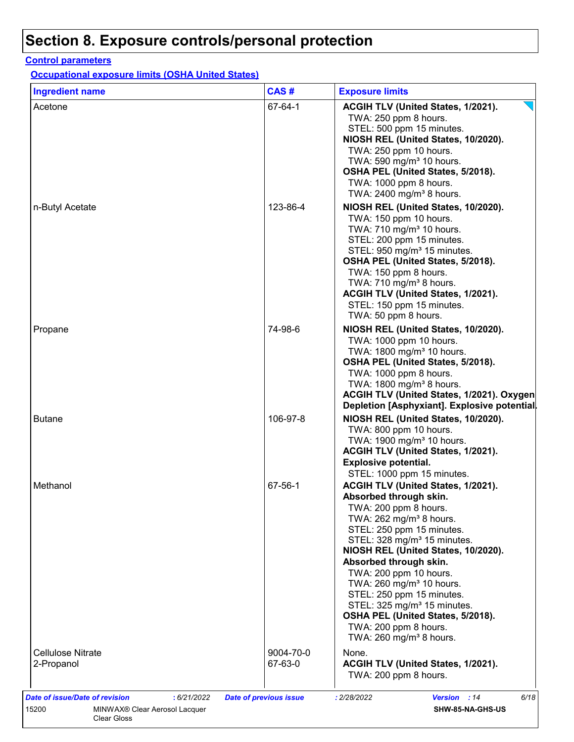#### **Control parameters**

**Occupational exposure limits (OSHA United States)**

|                                 |                      | <b>Exposure limits</b>                                                                                                                                                                                                                                                                                                                                                                                                                                                                                                 |
|---------------------------------|----------------------|------------------------------------------------------------------------------------------------------------------------------------------------------------------------------------------------------------------------------------------------------------------------------------------------------------------------------------------------------------------------------------------------------------------------------------------------------------------------------------------------------------------------|
| Acetone                         | 67-64-1              | ACGIH TLV (United States, 1/2021).                                                                                                                                                                                                                                                                                                                                                                                                                                                                                     |
|                                 |                      | TWA: 250 ppm 8 hours.<br>STEL: 500 ppm 15 minutes.<br>NIOSH REL (United States, 10/2020).<br>TWA: 250 ppm 10 hours.<br>TWA: 590 mg/m <sup>3</sup> 10 hours.<br>OSHA PEL (United States, 5/2018).<br>TWA: 1000 ppm 8 hours.<br>TWA: 2400 mg/m <sup>3</sup> 8 hours.                                                                                                                                                                                                                                                     |
| n-Butyl Acetate                 | 123-86-4             | NIOSH REL (United States, 10/2020).<br>TWA: 150 ppm 10 hours.<br>TWA: 710 mg/m <sup>3</sup> 10 hours.<br>STEL: 200 ppm 15 minutes.<br>STEL: 950 mg/m <sup>3</sup> 15 minutes.<br>OSHA PEL (United States, 5/2018).<br>TWA: 150 ppm 8 hours.<br>TWA: $710 \text{ mg/m}^3$ 8 hours.<br>ACGIH TLV (United States, 1/2021).<br>STEL: 150 ppm 15 minutes.<br>TWA: 50 ppm 8 hours.                                                                                                                                           |
| Propane                         | 74-98-6              | NIOSH REL (United States, 10/2020).<br>TWA: 1000 ppm 10 hours.<br>TWA: 1800 mg/m <sup>3</sup> 10 hours.<br>OSHA PEL (United States, 5/2018).<br>TWA: 1000 ppm 8 hours.<br>TWA: 1800 mg/m <sup>3</sup> 8 hours.<br>ACGIH TLV (United States, 1/2021). Oxygen<br>Depletion [Asphyxiant]. Explosive potential.                                                                                                                                                                                                            |
| <b>Butane</b>                   | 106-97-8             | NIOSH REL (United States, 10/2020).<br>TWA: 800 ppm 10 hours.<br>TWA: 1900 mg/m <sup>3</sup> 10 hours.<br>ACGIH TLV (United States, 1/2021).<br><b>Explosive potential.</b><br>STEL: 1000 ppm 15 minutes.                                                                                                                                                                                                                                                                                                              |
| Methanol                        | 67-56-1              | ACGIH TLV (United States, 1/2021).<br>Absorbed through skin.<br>TWA: 200 ppm 8 hours.<br>TWA: 262 mg/m <sup>3</sup> 8 hours.<br>STEL: 250 ppm 15 minutes.<br>STEL: 328 mg/m <sup>3</sup> 15 minutes.<br>NIOSH REL (United States, 10/2020).<br>Absorbed through skin.<br>TWA: 200 ppm 10 hours.<br>TWA: 260 mg/m <sup>3</sup> 10 hours.<br>STEL: 250 ppm 15 minutes.<br>STEL: 325 mg/m <sup>3</sup> 15 minutes.<br>OSHA PEL (United States, 5/2018).<br>TWA: 200 ppm 8 hours.<br>TWA: $260$ mg/m <sup>3</sup> 8 hours. |
| Cellulose Nitrate<br>2-Propanol | 9004-70-0<br>67-63-0 | None.<br>ACGIH TLV (United States, 1/2021).<br>TWA: 200 ppm 8 hours.                                                                                                                                                                                                                                                                                                                                                                                                                                                   |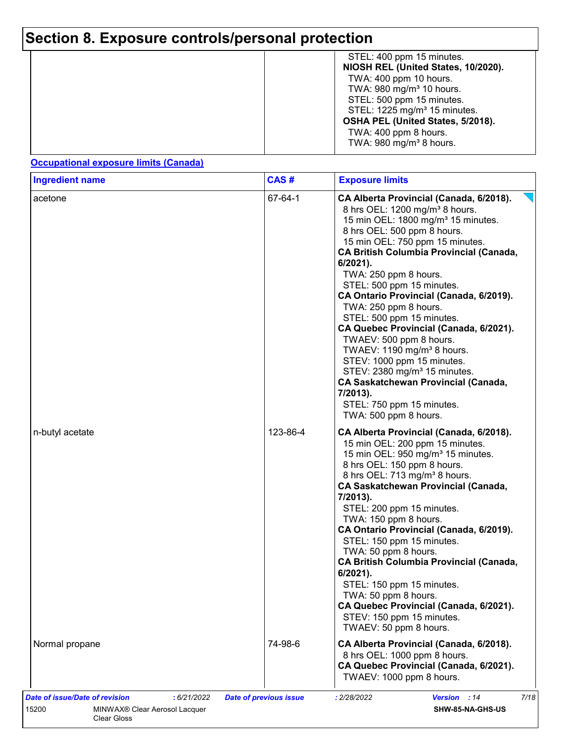| STEL: 400 ppm 15 minutes.<br>NIOSH REL (United States, 10/2020).<br>TWA: 400 ppm 10 hours.<br>TWA: $980 \text{ mg/m}^3$ 10 hours.<br>STEL: 500 ppm 15 minutes.<br>STEL: 1225 mg/m <sup>3</sup> 15 minutes.<br>OSHA PEL (United States, 5/2018).<br>TWA: 400 ppm 8 hours.<br>TWA: $980 \text{ mg/m}^3$ 8 hours. |
|----------------------------------------------------------------------------------------------------------------------------------------------------------------------------------------------------------------------------------------------------------------------------------------------------------------|
|                                                                                                                                                                                                                                                                                                                |

#### **Occupational exposure limits (Canada)**

| <b>Ingredient name</b>                                                                                 | CAS#                          | <b>Exposure limits</b>                                                                                                                                                                                                                                                                                                                                                                                                                                                                                                                                                                                                                                                                                                                  |
|--------------------------------------------------------------------------------------------------------|-------------------------------|-----------------------------------------------------------------------------------------------------------------------------------------------------------------------------------------------------------------------------------------------------------------------------------------------------------------------------------------------------------------------------------------------------------------------------------------------------------------------------------------------------------------------------------------------------------------------------------------------------------------------------------------------------------------------------------------------------------------------------------------|
| acetone                                                                                                | 67-64-1                       | CA Alberta Provincial (Canada, 6/2018).<br>8 hrs OEL: 1200 mg/m <sup>3</sup> 8 hours.<br>15 min OEL: 1800 mg/m <sup>3</sup> 15 minutes.<br>8 hrs OEL: 500 ppm 8 hours.<br>15 min OEL: 750 ppm 15 minutes.<br><b>CA British Columbia Provincial (Canada,</b><br>6/2021).<br>TWA: 250 ppm 8 hours.<br>STEL: 500 ppm 15 minutes.<br>CA Ontario Provincial (Canada, 6/2019).<br>TWA: 250 ppm 8 hours.<br>STEL: 500 ppm 15 minutes.<br>CA Quebec Provincial (Canada, 6/2021).<br>TWAEV: 500 ppm 8 hours.<br>TWAEV: 1190 mg/m <sup>3</sup> 8 hours.<br>STEV: 1000 ppm 15 minutes.<br>STEV: 2380 mg/m <sup>3</sup> 15 minutes.<br><b>CA Saskatchewan Provincial (Canada,</b><br>7/2013).<br>STEL: 750 ppm 15 minutes.<br>TWA: 500 ppm 8 hours. |
| n-butyl acetate                                                                                        | 123-86-4                      | CA Alberta Provincial (Canada, 6/2018).<br>15 min OEL: 200 ppm 15 minutes.<br>15 min OEL: 950 mg/m <sup>3</sup> 15 minutes.<br>8 hrs OEL: 150 ppm 8 hours.<br>8 hrs OEL: 713 mg/m <sup>3</sup> 8 hours.<br><b>CA Saskatchewan Provincial (Canada,</b><br>7/2013).<br>STEL: 200 ppm 15 minutes.<br>TWA: 150 ppm 8 hours.<br>CA Ontario Provincial (Canada, 6/2019).<br>STEL: 150 ppm 15 minutes.<br>TWA: 50 ppm 8 hours.<br><b>CA British Columbia Provincial (Canada,</b><br>$6/2021$ ).<br>STEL: 150 ppm 15 minutes.<br>TWA: 50 ppm 8 hours.<br>CA Quebec Provincial (Canada, 6/2021).<br>STEV: 150 ppm 15 minutes.<br>TWAEV: 50 ppm 8 hours.                                                                                          |
| Normal propane                                                                                         | 74-98-6                       | CA Alberta Provincial (Canada, 6/2018).<br>8 hrs OEL: 1000 ppm 8 hours.<br>CA Quebec Provincial (Canada, 6/2021).<br>TWAEV: 1000 ppm 8 hours.                                                                                                                                                                                                                                                                                                                                                                                                                                                                                                                                                                                           |
| Date of issue/Date of revision<br>: 6/21/2022<br>15200<br>MINWAX® Clear Aerosol Lacquer<br>Clear Gloss | <b>Date of previous issue</b> | 7/18<br>: 2/28/2022<br>Version : 14<br>SHW-85-NA-GHS-US                                                                                                                                                                                                                                                                                                                                                                                                                                                                                                                                                                                                                                                                                 |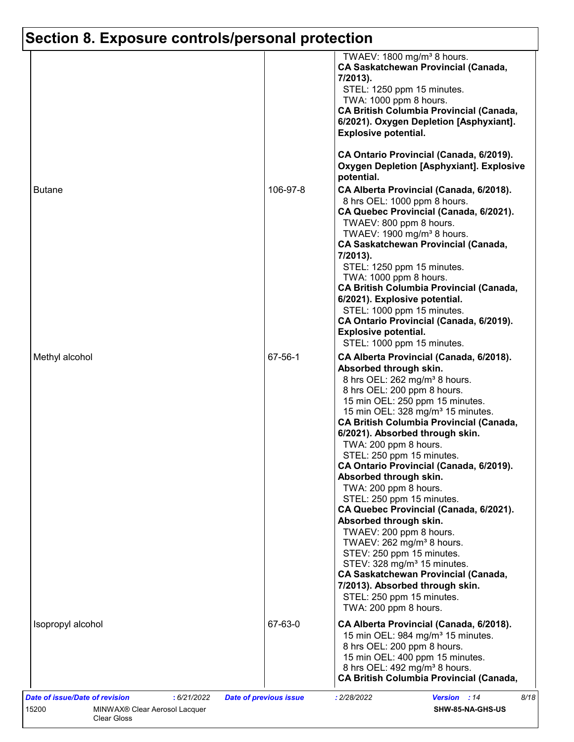|                   |          | TWAEV: 1800 mg/m <sup>3</sup> 8 hours.<br><b>CA Saskatchewan Provincial (Canada,</b><br>7/2013).<br>STEL: 1250 ppm 15 minutes.<br>TWA: 1000 ppm 8 hours.<br><b>CA British Columbia Provincial (Canada,</b><br>6/2021). Oxygen Depletion [Asphyxiant].<br><b>Explosive potential.</b>                                                                                                                                                                                                                                                                                                                                                                                                                                                                                                                                                                                                           |
|-------------------|----------|------------------------------------------------------------------------------------------------------------------------------------------------------------------------------------------------------------------------------------------------------------------------------------------------------------------------------------------------------------------------------------------------------------------------------------------------------------------------------------------------------------------------------------------------------------------------------------------------------------------------------------------------------------------------------------------------------------------------------------------------------------------------------------------------------------------------------------------------------------------------------------------------|
|                   |          | CA Ontario Provincial (Canada, 6/2019).<br><b>Oxygen Depletion [Asphyxiant]. Explosive</b><br>potential.                                                                                                                                                                                                                                                                                                                                                                                                                                                                                                                                                                                                                                                                                                                                                                                       |
| <b>Butane</b>     | 106-97-8 | CA Alberta Provincial (Canada, 6/2018).<br>8 hrs OEL: 1000 ppm 8 hours.<br>CA Quebec Provincial (Canada, 6/2021).<br>TWAEV: 800 ppm 8 hours.<br>TWAEV: 1900 mg/m <sup>3</sup> 8 hours.<br><b>CA Saskatchewan Provincial (Canada,</b><br>7/2013).<br>STEL: 1250 ppm 15 minutes.<br>TWA: 1000 ppm 8 hours.<br><b>CA British Columbia Provincial (Canada,</b><br>6/2021). Explosive potential.<br>STEL: 1000 ppm 15 minutes.<br>CA Ontario Provincial (Canada, 6/2019).<br><b>Explosive potential.</b>                                                                                                                                                                                                                                                                                                                                                                                            |
| Methyl alcohol    | 67-56-1  | STEL: 1000 ppm 15 minutes.<br>CA Alberta Provincial (Canada, 6/2018).<br>Absorbed through skin.<br>8 hrs OEL: 262 mg/m <sup>3</sup> 8 hours.<br>8 hrs OEL: 200 ppm 8 hours.<br>15 min OEL: 250 ppm 15 minutes.<br>15 min OEL: 328 mg/m <sup>3</sup> 15 minutes.<br><b>CA British Columbia Provincial (Canada,</b><br>6/2021). Absorbed through skin.<br>TWA: 200 ppm 8 hours.<br>STEL: 250 ppm 15 minutes.<br>CA Ontario Provincial (Canada, 6/2019).<br>Absorbed through skin.<br>TWA: 200 ppm 8 hours.<br>STEL: 250 ppm 15 minutes.<br>CA Quebec Provincial (Canada, 6/2021).<br>Absorbed through skin.<br>TWAEV: 200 ppm 8 hours.<br>TWAEV: $262$ mg/m <sup>3</sup> 8 hours.<br>STEV: 250 ppm 15 minutes.<br>STEV: 328 mg/m <sup>3</sup> 15 minutes.<br><b>CA Saskatchewan Provincial (Canada,</b><br>7/2013). Absorbed through skin.<br>STEL: 250 ppm 15 minutes.<br>TWA: 200 ppm 8 hours. |
| Isopropyl alcohol | 67-63-0  | CA Alberta Provincial (Canada, 6/2018).<br>15 min OEL: 984 mg/m <sup>3</sup> 15 minutes.<br>8 hrs OEL: 200 ppm 8 hours.<br>15 min OEL: 400 ppm 15 minutes.<br>8 hrs OEL: 492 mg/m <sup>3</sup> 8 hours.<br><b>CA British Columbia Provincial (Canada,</b>                                                                                                                                                                                                                                                                                                                                                                                                                                                                                                                                                                                                                                      |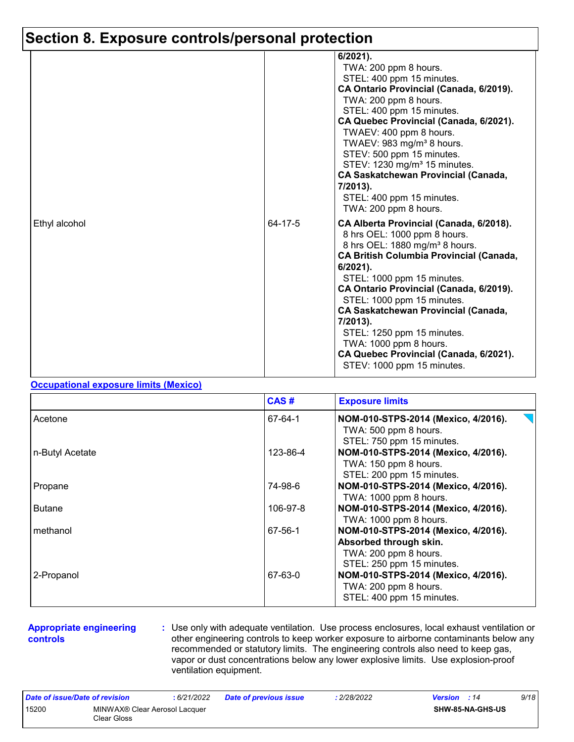|               |         | 6/2021).<br>TWA: 200 ppm 8 hours.<br>STEL: 400 ppm 15 minutes.<br>CA Ontario Provincial (Canada, 6/2019).<br>TWA: 200 ppm 8 hours.<br>STEL: 400 ppm 15 minutes.<br>CA Quebec Provincial (Canada, 6/2021).<br>TWAEV: 400 ppm 8 hours.<br>TWAEV: 983 mg/m <sup>3</sup> 8 hours.<br>STEV: 500 ppm 15 minutes.<br>STEV: 1230 mg/m <sup>3</sup> 15 minutes.<br><b>CA Saskatchewan Provincial (Canada,</b><br>7/2013).<br>STEL: 400 ppm 15 minutes.                                                                    |
|---------------|---------|------------------------------------------------------------------------------------------------------------------------------------------------------------------------------------------------------------------------------------------------------------------------------------------------------------------------------------------------------------------------------------------------------------------------------------------------------------------------------------------------------------------|
| Ethyl alcohol | 64-17-5 | TWA: 200 ppm 8 hours.<br>CA Alberta Provincial (Canada, 6/2018).<br>8 hrs OEL: 1000 ppm 8 hours.<br>8 hrs OEL: 1880 mg/m <sup>3</sup> 8 hours.<br><b>CA British Columbia Provincial (Canada,</b><br>$6/2021$ ).<br>STEL: 1000 ppm 15 minutes.<br>CA Ontario Provincial (Canada, 6/2019).<br>STEL: 1000 ppm 15 minutes.<br><b>CA Saskatchewan Provincial (Canada,</b><br>7/2013).<br>STEL: 1250 ppm 15 minutes.<br>TWA: 1000 ppm 8 hours.<br>CA Quebec Provincial (Canada, 6/2021).<br>STEV: 1000 ppm 15 minutes. |

#### **Occupational exposure limits (Mexico)**

|                 | CAS#     | <b>Exposure limits</b>                                                                                              |
|-----------------|----------|---------------------------------------------------------------------------------------------------------------------|
| Acetone         | 67-64-1  | NOM-010-STPS-2014 (Mexico, 4/2016).<br>TWA: 500 ppm 8 hours.<br>STEL: 750 ppm 15 minutes.                           |
| n-Butyl Acetate | 123-86-4 | NOM-010-STPS-2014 (Mexico, 4/2016).<br>TWA: 150 ppm 8 hours.<br>STEL: 200 ppm 15 minutes.                           |
| Propane         | 74-98-6  | NOM-010-STPS-2014 (Mexico, 4/2016).<br>TWA: 1000 ppm 8 hours.                                                       |
| <b>Butane</b>   | 106-97-8 | NOM-010-STPS-2014 (Mexico, 4/2016).<br>TWA: 1000 ppm 8 hours.                                                       |
| methanol        | 67-56-1  | NOM-010-STPS-2014 (Mexico, 4/2016).<br>Absorbed through skin.<br>TWA: 200 ppm 8 hours.<br>STEL: 250 ppm 15 minutes. |
| 2-Propanol      | 67-63-0  | NOM-010-STPS-2014 (Mexico, 4/2016).<br>TWA: 200 ppm 8 hours.<br>STEL: 400 ppm 15 minutes.                           |

#### **Appropriate engineering controls**

**:** Use only with adequate ventilation. Use process enclosures, local exhaust ventilation or other engineering controls to keep worker exposure to airborne contaminants below any recommended or statutory limits. The engineering controls also need to keep gas, vapor or dust concentrations below any lower explosive limits. Use explosion-proof ventilation equipment.

| Date of issue/Date of revision |                                              | : 6/21/2022 | <b>Date of previous issue</b> | 2/28/2022 | <b>Version</b> : 14 |                         | 9/18 |
|--------------------------------|----------------------------------------------|-------------|-------------------------------|-----------|---------------------|-------------------------|------|
| 15200                          | MINWAX® Clear Aerosol Lacquer<br>Clear Gloss |             |                               |           |                     | <b>SHW-85-NA-GHS-US</b> |      |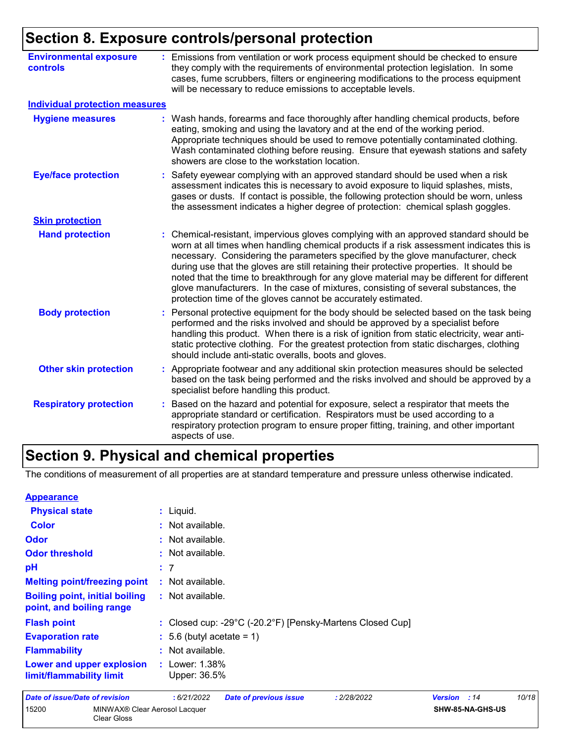| <b>Environmental exposure</b><br><b>controls</b> | Emissions from ventilation or work process equipment should be checked to ensure<br>they comply with the requirements of environmental protection legislation. In some<br>cases, fume scrubbers, filters or engineering modifications to the process equipment<br>will be necessary to reduce emissions to acceptable levels.                                                                                                                                                                                                                                                                                        |
|--------------------------------------------------|----------------------------------------------------------------------------------------------------------------------------------------------------------------------------------------------------------------------------------------------------------------------------------------------------------------------------------------------------------------------------------------------------------------------------------------------------------------------------------------------------------------------------------------------------------------------------------------------------------------------|
| <b>Individual protection measures</b>            |                                                                                                                                                                                                                                                                                                                                                                                                                                                                                                                                                                                                                      |
| <b>Hygiene measures</b>                          | : Wash hands, forearms and face thoroughly after handling chemical products, before<br>eating, smoking and using the lavatory and at the end of the working period.<br>Appropriate techniques should be used to remove potentially contaminated clothing.<br>Wash contaminated clothing before reusing. Ensure that eyewash stations and safety<br>showers are close to the workstation location.                                                                                                                                                                                                                    |
| <b>Eye/face protection</b>                       | Safety eyewear complying with an approved standard should be used when a risk<br>assessment indicates this is necessary to avoid exposure to liquid splashes, mists,<br>gases or dusts. If contact is possible, the following protection should be worn, unless<br>the assessment indicates a higher degree of protection: chemical splash goggles.                                                                                                                                                                                                                                                                  |
| <b>Skin protection</b>                           |                                                                                                                                                                                                                                                                                                                                                                                                                                                                                                                                                                                                                      |
| <b>Hand protection</b>                           | Chemical-resistant, impervious gloves complying with an approved standard should be<br>worn at all times when handling chemical products if a risk assessment indicates this is<br>necessary. Considering the parameters specified by the glove manufacturer, check<br>during use that the gloves are still retaining their protective properties. It should be<br>noted that the time to breakthrough for any glove material may be different for different<br>glove manufacturers. In the case of mixtures, consisting of several substances, the<br>protection time of the gloves cannot be accurately estimated. |
| <b>Body protection</b>                           | Personal protective equipment for the body should be selected based on the task being<br>performed and the risks involved and should be approved by a specialist before<br>handling this product. When there is a risk of ignition from static electricity, wear anti-<br>static protective clothing. For the greatest protection from static discharges, clothing<br>should include anti-static overalls, boots and gloves.                                                                                                                                                                                         |
| <b>Other skin protection</b>                     | Appropriate footwear and any additional skin protection measures should be selected<br>based on the task being performed and the risks involved and should be approved by a<br>specialist before handling this product.                                                                                                                                                                                                                                                                                                                                                                                              |
| <b>Respiratory protection</b>                    | Based on the hazard and potential for exposure, select a respirator that meets the<br>÷.<br>appropriate standard or certification. Respirators must be used according to a<br>respiratory protection program to ensure proper fitting, training, and other important<br>aspects of use.                                                                                                                                                                                                                                                                                                                              |

### **Section 9. Physical and chemical properties**

Clear Gloss

The conditions of measurement of all properties are at standard temperature and pressure unless otherwise indicated.

| <b>Appearance</b>                                                 |                                                            |                     |                  |       |
|-------------------------------------------------------------------|------------------------------------------------------------|---------------------|------------------|-------|
| <b>Physical state</b>                                             | $:$ Liquid.                                                |                     |                  |       |
| <b>Color</b>                                                      | : Not available.                                           |                     |                  |       |
| Odor                                                              | : Not available.                                           |                     |                  |       |
| <b>Odor threshold</b>                                             | : Not available.                                           |                     |                  |       |
| рH                                                                | : 7                                                        |                     |                  |       |
| <b>Melting point/freezing point</b>                               | : Not available.                                           |                     |                  |       |
| <b>Boiling point, initial boiling</b><br>point, and boiling range | : Not available.                                           |                     |                  |       |
| <b>Flash point</b>                                                | : Closed cup: -29°C (-20.2°F) [Pensky-Martens Closed Cup]  |                     |                  |       |
| <b>Evaporation rate</b>                                           | $: 5.6$ (butyl acetate = 1)                                |                     |                  |       |
| <b>Flammability</b>                                               | : Not available.                                           |                     |                  |       |
| Lower and upper explosion<br>limit/flammability limit             | : Lower: $1.38\%$<br>Upper: 36.5%                          |                     |                  |       |
| Date of issue/Date of revision                                    | :6/21/2022<br><b>Date of previous issue</b><br>: 2/28/2022 | <b>Version</b> : 14 |                  | 10/18 |
| 15200<br>MINWAX® Clear Aerosol Lacquer                            |                                                            |                     | SHW-85-NA-GHS-US |       |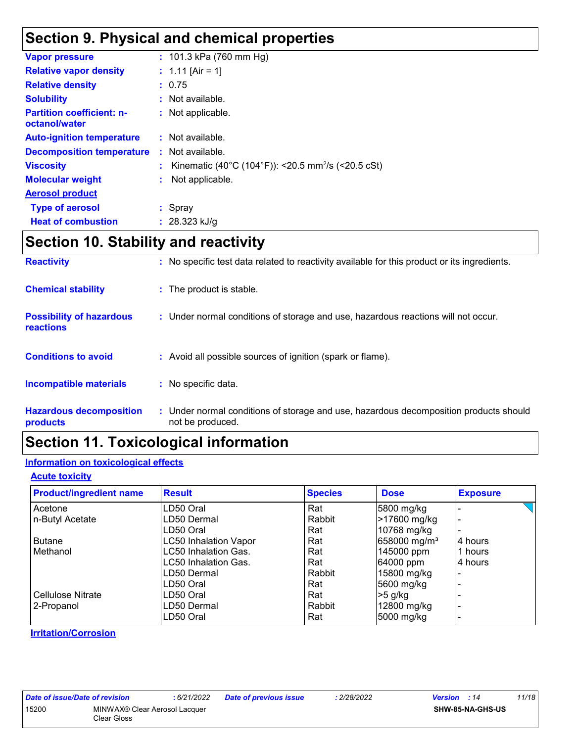# **Section 9. Physical and chemical properties**

| <b>Vapor pressure</b>                             | : 101.3 kPa (760 mm Hg)                                        |
|---------------------------------------------------|----------------------------------------------------------------|
| <b>Relative vapor density</b>                     | : 1.11 [Air = 1]                                               |
| <b>Relative density</b>                           | : 0.75                                                         |
| <b>Solubility</b>                                 | : Not available.                                               |
| <b>Partition coefficient: n-</b><br>octanol/water | : Not applicable.                                              |
| <b>Auto-ignition temperature</b>                  | : Not available.                                               |
| <b>Decomposition temperature</b>                  | : Not available.                                               |
| <b>Viscosity</b>                                  | Kinematic (40°C (104°F)): <20.5 mm <sup>2</sup> /s (<20.5 cSt) |
| <b>Molecular weight</b>                           | Not applicable.                                                |
| <b>Aerosol product</b>                            |                                                                |
| <b>Type of aerosol</b>                            | : Spray                                                        |
| <b>Heat of combustion</b>                         | : $28.323$ kJ/g                                                |
|                                                   |                                                                |

### **Section 10. Stability and reactivity**

| <b>Reactivity</b>                                   | : No specific test data related to reactivity available for this product or its ingredients.              |
|-----------------------------------------------------|-----------------------------------------------------------------------------------------------------------|
| <b>Chemical stability</b>                           | : The product is stable.                                                                                  |
| <b>Possibility of hazardous</b><br><b>reactions</b> | : Under normal conditions of storage and use, hazardous reactions will not occur.                         |
| <b>Conditions to avoid</b>                          | : Avoid all possible sources of ignition (spark or flame).                                                |
| <b>Incompatible materials</b>                       | : No specific data.                                                                                       |
| <b>Hazardous decomposition</b><br>products          | : Under normal conditions of storage and use, hazardous decomposition products should<br>not be produced. |

### **Section 11. Toxicological information**

#### **Information on toxicological effects**

#### **Acute toxicity**

| <b>Product/ingredient name</b> | <b>Result</b>                | <b>Species</b> | <b>Dose</b>              | <b>Exposure</b> |
|--------------------------------|------------------------------|----------------|--------------------------|-----------------|
| Acetone                        | LD50 Oral                    | Rat            | 5800 mg/kg               |                 |
| n-Butyl Acetate                | LD50 Dermal                  | Rabbit         | >17600 mg/kg             |                 |
|                                | LD50 Oral                    | Rat            | 10768 mg/kg              |                 |
| <b>Butane</b>                  | <b>LC50 Inhalation Vapor</b> | Rat            | 658000 mg/m <sup>3</sup> | 4 hours         |
| Methanol                       | <b>LC50 Inhalation Gas.</b>  | Rat            | 145000 ppm               | 1 hours         |
|                                | LC50 Inhalation Gas.         | Rat            | 64000 ppm                | 4 hours         |
|                                | LD50 Dermal                  | Rabbit         | 15800 mg/kg              |                 |
|                                | LD50 Oral                    | Rat            | 5600 mg/kg               |                 |
| <b>Cellulose Nitrate</b>       | LD50 Oral                    | Rat            | $>5$ g/kg                |                 |
| 2-Propanol                     | LD50 Dermal                  | Rabbit         | 12800 mg/kg              |                 |
|                                | LD50 Oral                    | Rat            | 5000 mg/kg               |                 |

**Irritation/Corrosion**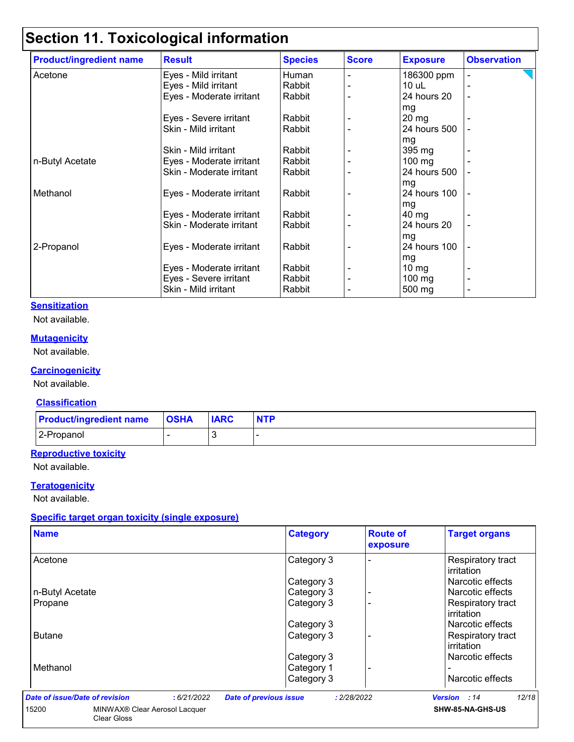# **Section 11. Toxicological information**

| <b>Product/ingredient name</b> | <b>Result</b>            | <b>Species</b> | <b>Score</b> | <b>Exposure</b>  | <b>Observation</b> |
|--------------------------------|--------------------------|----------------|--------------|------------------|--------------------|
| Acetone                        | Eyes - Mild irritant     | Human          |              | 186300 ppm       |                    |
|                                | Eyes - Mild irritant     | Rabbit         |              | $10$ uL          |                    |
|                                | Eyes - Moderate irritant | Rabbit         |              | 24 hours 20      |                    |
|                                |                          |                |              | mg               |                    |
|                                | Eyes - Severe irritant   | Rabbit         |              | $20 \text{ mg}$  |                    |
|                                | Skin - Mild irritant     | Rabbit         |              | 24 hours 500     |                    |
|                                |                          |                |              | mg               |                    |
|                                | Skin - Mild irritant     | Rabbit         |              | 395 mg           |                    |
| n-Butyl Acetate                | Eyes - Moderate irritant | Rabbit         |              | $100$ mg         |                    |
|                                | Skin - Moderate irritant | Rabbit         |              | 24 hours 500     |                    |
|                                |                          |                |              | mg               |                    |
| Methanol                       | Eyes - Moderate irritant | Rabbit         |              | 24 hours 100     |                    |
|                                |                          |                |              | mg               |                    |
|                                | Eyes - Moderate irritant | Rabbit         |              | $40 \mathrm{mg}$ |                    |
|                                | Skin - Moderate irritant | Rabbit         |              | 24 hours 20      |                    |
|                                |                          |                |              | mg               |                    |
| 2-Propanol                     | Eyes - Moderate irritant | Rabbit         |              | 24 hours 100     |                    |
|                                |                          |                |              | mg               |                    |
|                                | Eyes - Moderate irritant | Rabbit         |              | 10 $mg$          |                    |
|                                | Eyes - Severe irritant   | Rabbit         |              | 100 $mg$         |                    |
|                                | Skin - Mild irritant     | Rabbit         |              | 500 mg           |                    |

#### **Sensitization**

Not available.

#### **Mutagenicity**

Not available.

#### **Carcinogenicity**

Not available.

#### **Classification**

| <b>Product/ingredient name OSHA</b> | <b>IARC</b> | <b>NTP</b> |
|-------------------------------------|-------------|------------|
| 2-Propanol                          |             |            |

#### **Reproductive toxicity**

Not available.

#### **Teratogenicity**

Not available.

#### **Specific target organ toxicity (single exposure)**

| <b>Name</b>                    |                                           | <b>Category</b>                              | <b>Route of</b><br>exposure | <b>Target organs</b>                   |
|--------------------------------|-------------------------------------------|----------------------------------------------|-----------------------------|----------------------------------------|
| Acetone                        |                                           | Category 3                                   |                             | <b>Respiratory tract</b><br>irritation |
|                                |                                           | Category 3                                   |                             | Narcotic effects                       |
| n-Butyl Acetate                |                                           | Category 3                                   |                             | Narcotic effects                       |
| Propane                        |                                           | Category 3                                   |                             | Respiratory tract<br>irritation        |
|                                |                                           | Category 3                                   |                             | Narcotic effects                       |
| <b>Butane</b>                  |                                           | Category 3                                   |                             | Respiratory tract<br>irritation        |
|                                |                                           | Category 3                                   |                             | Narcotic effects                       |
| Methanol                       |                                           | Category 1                                   |                             |                                        |
|                                |                                           | Category 3                                   |                             | Narcotic effects                       |
| Date of issue/Date of revision | :6/21/2022                                | <b>Date of previous issue</b><br>: 2/28/2022 |                             | 12/18<br><b>Version</b> : 14           |
| 15200<br><b>Clear Gloss</b>    | MINWAX <sup>®</sup> Clear Aerosol Lacquer |                                              |                             | SHW-85-NA-GHS-US                       |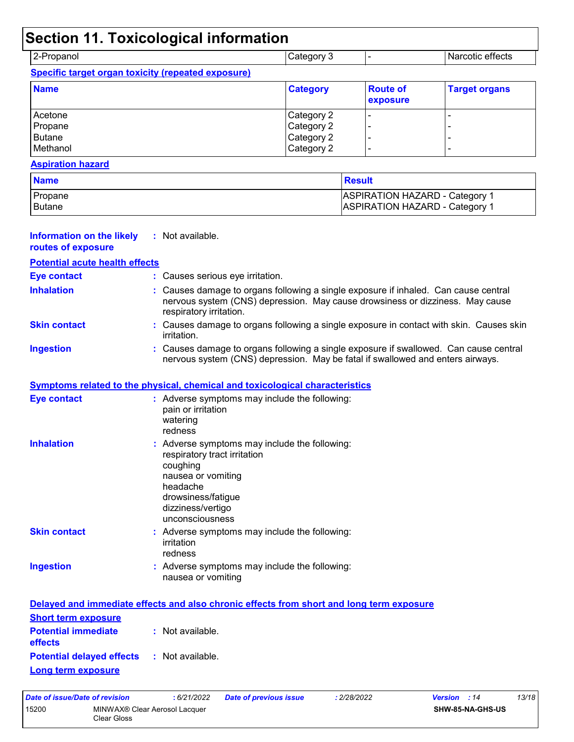# **Section 11. Toxicological information**

| 2-Propanol                                         | Category 3 | Narcotic effects |
|----------------------------------------------------|------------|------------------|
| Specific target organ toxicity (repeated exposure) |            |                  |

| <b>Name</b> | <b>Category</b> | <b>Route of</b><br>exposure | <b>Target organs</b> |
|-------------|-----------------|-----------------------------|----------------------|
| Acetone     | Category 2      |                             |                      |
| Propane     | Category 2      |                             |                      |
| Butane      | Category 2      |                             |                      |
| Methanol    | Category 2      |                             | -                    |

#### **Aspiration hazard**

| <b>Name</b>    | <u>I</u> Result                       |
|----------------|---------------------------------------|
| <b>Propane</b> | <b>ASPIRATION HAZARD - Category 1</b> |
| <b>Butane</b>  | <b>ASPIRATION HAZARD - Category 1</b> |

| <b>Information on the likely</b><br>routes of exposure | : Not available.                                                                                                                                                                                |
|--------------------------------------------------------|-------------------------------------------------------------------------------------------------------------------------------------------------------------------------------------------------|
| <b>Potential acute health effects</b>                  |                                                                                                                                                                                                 |
| <b>Eye contact</b>                                     | : Causes serious eye irritation.                                                                                                                                                                |
| <b>Inhalation</b>                                      | : Causes damage to organs following a single exposure if inhaled. Can cause central<br>nervous system (CNS) depression. May cause drowsiness or dizziness. May cause<br>respiratory irritation. |
| <b>Skin contact</b>                                    | : Causes damage to organs following a single exposure in contact with skin. Causes skin<br>irritation.                                                                                          |
| <b>Ingestion</b>                                       | : Causes damage to organs following a single exposure if swallowed. Can cause central<br>nervous system (CNS) depression. May be fatal if swallowed and enters airways.                         |
|                                                        | Symptoms related to the physical, chemical and toxicological characteristics                                                                                                                    |
| <b>Eye contact</b>                                     | : Adverse symptoms may include the following:<br>pain or irritation<br>watering<br>redness                                                                                                      |
| <b>Inhalation</b>                                      | : Adverse symptoms may include the following:<br>respiratory tract irritation<br>coughing<br>nausea or vomiting<br>headache<br>drowsiness/fatigue<br>dizziness/vertigo<br>unconsciousness       |
| <b>Skin contact</b>                                    | : Adverse symptoms may include the following:<br>irritation<br>redness                                                                                                                          |
| <b>Ingestion</b>                                       | : Adverse symptoms may include the following:<br>nausea or vomiting                                                                                                                             |
|                                                        | Delayed and immediate effects and also chronic effects from short and long term exposure                                                                                                        |
| <b>Short term exposure</b>                             |                                                                                                                                                                                                 |
| <b>Potential immediate</b><br>effects                  | : Not available.                                                                                                                                                                                |
| <b>Potential delayed effects</b>                       | : Not available.                                                                                                                                                                                |
| Long term exposure                                     |                                                                                                                                                                                                 |

| Date of issue/Date of revision |                                              | : 6/21/2022 | <b>Date of previous issue</b> | : 2/28/2022 | <b>Version</b> : 14 |                  | 13/18 |
|--------------------------------|----------------------------------------------|-------------|-------------------------------|-------------|---------------------|------------------|-------|
| 15200                          | MINWAX® Clear Aerosol Lacquer<br>Clear Gloss |             |                               |             |                     | SHW-85-NA-GHS-US |       |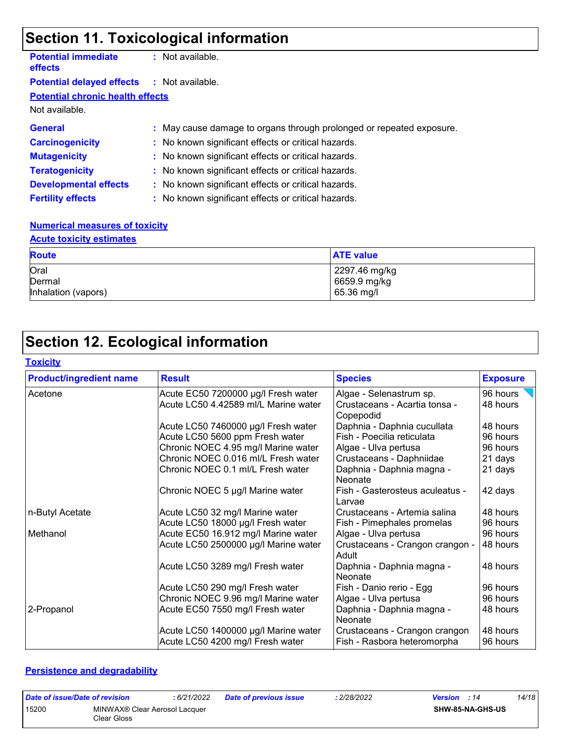# **Section 11. Toxicological information**

| <b>Potential immediate</b><br><b>effects</b>      | $:$ Not available.                                                   |
|---------------------------------------------------|----------------------------------------------------------------------|
| <b>Potential delayed effects : Not available.</b> |                                                                      |
| <b>Potential chronic health effects</b>           |                                                                      |
| Not available.                                    |                                                                      |
| <b>General</b>                                    | : May cause damage to organs through prolonged or repeated exposure. |
| <b>Carcinogenicity</b>                            | : No known significant effects or critical hazards.                  |
| <b>Mutagenicity</b>                               | : No known significant effects or critical hazards.                  |
| <b>Teratogenicity</b>                             | : No known significant effects or critical hazards.                  |
| <b>Developmental effects</b>                      | : No known significant effects or critical hazards.                  |
| <b>Fertility effects</b>                          | : No known significant effects or critical hazards.                  |
|                                                   |                                                                      |

#### **Numerical measures of toxicity**

### **Acute toxicity estimates**

| <b>Route</b>        | <b>ATE value</b> |
|---------------------|------------------|
| Oral                | 2297.46 mg/kg    |
| Dermal              | 6659.9 mg/kg     |
| Inhalation (vapors) | 65.36 mg/l       |

# **Section 12. Ecological information**

#### **Toxicity**

| <b>Product/ingredient name</b> | <b>Result</b>                        | <b>Species</b>                             | <b>Exposure</b> |
|--------------------------------|--------------------------------------|--------------------------------------------|-----------------|
| Acetone                        | Acute EC50 7200000 µg/l Fresh water  | Algae - Selenastrum sp.                    | 96 hours        |
|                                | Acute LC50 4.42589 ml/L Marine water | Crustaceans - Acartia tonsa -<br>Copepodid | 48 hours        |
|                                | Acute LC50 7460000 µg/l Fresh water  | Daphnia - Daphnia cucullata                | 48 hours        |
|                                | Acute LC50 5600 ppm Fresh water      | Fish - Poecilia reticulata                 | 96 hours        |
|                                | Chronic NOEC 4.95 mg/l Marine water  | Algae - Ulva pertusa                       | 96 hours        |
|                                | Chronic NOEC 0.016 ml/L Fresh water  | Crustaceans - Daphniidae                   | 21 days         |
|                                | Chronic NOEC 0.1 ml/L Fresh water    | Daphnia - Daphnia magna -<br>Neonate       | 21 days         |
|                                | Chronic NOEC 5 µg/l Marine water     | Fish - Gasterosteus aculeatus -<br>Larvae  | 42 days         |
| n-Butyl Acetate                | Acute LC50 32 mg/l Marine water      | Crustaceans - Artemia salina               | 48 hours        |
|                                | Acute LC50 18000 µg/l Fresh water    | Fish - Pimephales promelas                 | 96 hours        |
| Methanol                       | Acute EC50 16.912 mg/l Marine water  | Algae - Ulva pertusa                       | 96 hours        |
|                                | Acute LC50 2500000 µg/l Marine water | Crustaceans - Crangon crangon -<br>Adult   | 48 hours        |
|                                | Acute LC50 3289 mg/l Fresh water     | Daphnia - Daphnia magna -<br>Neonate       | 48 hours        |
|                                | Acute LC50 290 mg/l Fresh water      | Fish - Danio rerio - Egg                   | 96 hours        |
|                                | Chronic NOEC 9.96 mg/l Marine water  | Algae - Ulva pertusa                       | 96 hours        |
| 2-Propanol                     | Acute EC50 7550 mg/l Fresh water     | Daphnia - Daphnia magna -<br>Neonate       | 48 hours        |
|                                | Acute LC50 1400000 µg/l Marine water | Crustaceans - Crangon crangon              | 48 hours        |
|                                | Acute LC50 4200 mg/l Fresh water     | Fish - Rasbora heteromorpha                | 96 hours        |

#### **Persistence and degradability**

| Date of issue/Date of revision |                                              | : 6/21/2022 | <b>Date of previous issue</b> | 2/28/2022 | <b>Version</b> : 14     | 14/18 |
|--------------------------------|----------------------------------------------|-------------|-------------------------------|-----------|-------------------------|-------|
| 15200                          | MINWAX® Clear Aerosol Lacquer<br>Clear Gloss |             |                               |           | <b>SHW-85-NA-GHS-US</b> |       |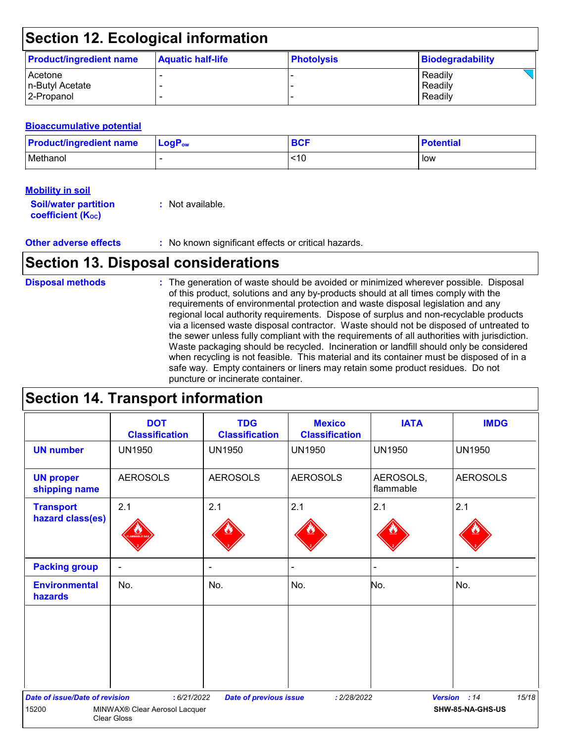### **Section 12. Ecological information**

| <b>Product/ingredient name</b> | <b>Aquatic half-life</b> | <b>Photolysis</b> | <b>Biodegradability</b> |
|--------------------------------|--------------------------|-------------------|-------------------------|
| <b>Acetone</b>                 |                          |                   | Readily                 |
| n-Butyl Acetate                |                          |                   | Readily                 |
| 2-Propanol                     |                          |                   | Readily                 |

#### **Bioaccumulative potential**

| <b>Product/ingredient name</b> | $LogP_{ow}$ | ner | <b>Potential</b> |
|--------------------------------|-------------|-----|------------------|
| Methanol                       |             | <10 | low              |

#### **Mobility in soil**

| <b>Soil/water partition</b> | : Not available. |
|-----------------------------|------------------|
| <b>coefficient (Koc)</b>    |                  |

### **Section 13. Disposal considerations**

#### The generation of waste should be avoided or minimized wherever possible. Disposal of this product, solutions and any by-products should at all times comply with the requirements of environmental protection and waste disposal legislation and any regional local authority requirements. Dispose of surplus and non-recyclable products via a licensed waste disposal contractor. Waste should not be disposed of untreated to the sewer unless fully compliant with the requirements of all authorities with jurisdiction. Waste packaging should be recycled. Incineration or landfill should only be considered when recycling is not feasible. This material and its container must be disposed of in a safe way. Empty containers or liners may retain some product residues. Do not puncture or incinerate container. **Disposal methods :**

### **Section 14. Transport information**

|                                                | <b>DOT</b><br><b>Classification</b>          | <b>TDG</b><br><b>Classification</b> | <b>Mexico</b><br><b>Classification</b> | <b>IATA</b>            | <b>IMDG</b>                               |
|------------------------------------------------|----------------------------------------------|-------------------------------------|----------------------------------------|------------------------|-------------------------------------------|
| <b>UN number</b>                               | <b>UN1950</b>                                | <b>UN1950</b>                       | <b>UN1950</b>                          | <b>UN1950</b>          | <b>UN1950</b>                             |
| <b>UN proper</b><br>shipping name              | <b>AEROSOLS</b>                              | <b>AEROSOLS</b>                     | <b>AEROSOLS</b>                        | AEROSOLS,<br>flammable | <b>AEROSOLS</b>                           |
| <b>Transport</b><br>hazard class(es)           | 2.1                                          | 2.1                                 | 2.1                                    | 2.1                    | 2.1                                       |
| <b>Packing group</b>                           | $\overline{\phantom{a}}$                     | $\blacksquare$                      |                                        | ä,                     |                                           |
| <b>Environmental</b><br>hazards                | No.                                          | No.                                 | No.                                    | No.                    | No.                                       |
|                                                |                                              |                                     |                                        |                        |                                           |
| <b>Date of issue/Date of revision</b><br>15200 | : 6/21/2022<br>MINWAX® Clear Aerosol Lacquer | <b>Date of previous issue</b>       | : 2/28/2022                            |                        | 15/18<br>Version : 14<br>SHW-85-NA-GHS-US |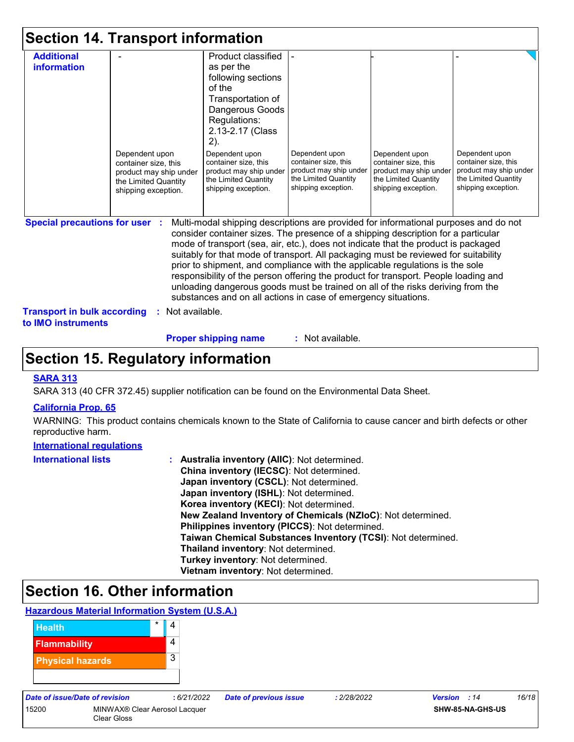|  |  |  | <b>Section 14. Transport information</b> |  |
|--|--|--|------------------------------------------|--|
|--|--|--|------------------------------------------|--|

| <b>Additional</b>                                        |                                                | Product classified                                                                                                                                                                                                                                              |                                        |                                        |                                        |
|----------------------------------------------------------|------------------------------------------------|-----------------------------------------------------------------------------------------------------------------------------------------------------------------------------------------------------------------------------------------------------------------|----------------------------------------|----------------------------------------|----------------------------------------|
| <b>information</b>                                       |                                                | as per the                                                                                                                                                                                                                                                      |                                        |                                        |                                        |
|                                                          |                                                | following sections                                                                                                                                                                                                                                              |                                        |                                        |                                        |
|                                                          |                                                | of the                                                                                                                                                                                                                                                          |                                        |                                        |                                        |
|                                                          |                                                | Transportation of                                                                                                                                                                                                                                               |                                        |                                        |                                        |
|                                                          |                                                | Dangerous Goods                                                                                                                                                                                                                                                 |                                        |                                        |                                        |
|                                                          |                                                | Regulations:                                                                                                                                                                                                                                                    |                                        |                                        |                                        |
|                                                          |                                                | 2.13-2.17 (Class                                                                                                                                                                                                                                                |                                        |                                        |                                        |
|                                                          |                                                | 2).                                                                                                                                                                                                                                                             |                                        |                                        |                                        |
|                                                          | Dependent upon                                 | Dependent upon<br>container size, this                                                                                                                                                                                                                          | Dependent upon<br>container size, this | Dependent upon<br>container size, this | Dependent upon<br>container size, this |
|                                                          | container size, this<br>product may ship under | product may ship under                                                                                                                                                                                                                                          | product may ship under                 | product may ship under                 | product may ship under                 |
|                                                          | the Limited Quantity                           | the Limited Quantity                                                                                                                                                                                                                                            | the Limited Quantity                   | the Limited Quantity                   | the Limited Quantity                   |
|                                                          | shipping exception.                            | shipping exception.                                                                                                                                                                                                                                             | shipping exception.                    | shipping exception.                    | shipping exception.                    |
|                                                          |                                                |                                                                                                                                                                                                                                                                 |                                        |                                        |                                        |
|                                                          |                                                |                                                                                                                                                                                                                                                                 |                                        |                                        |                                        |
| <b>Special precautions for user</b>                      |                                                | Multi-modal shipping descriptions are provided for informational purposes and do not<br>consider container sizes. The presence of a shipping description for a particular<br>mode of transport (sea, air, etc.), does not indicate that the product is packaged |                                        |                                        |                                        |
|                                                          |                                                | suitably for that mode of transport. All packaging must be reviewed for suitability                                                                                                                                                                             |                                        |                                        |                                        |
|                                                          |                                                | prior to shipment, and compliance with the applicable regulations is the sole                                                                                                                                                                                   |                                        |                                        |                                        |
|                                                          |                                                | responsibility of the person offering the product for transport. People loading and                                                                                                                                                                             |                                        |                                        |                                        |
|                                                          |                                                | unloading dangerous goods must be trained on all of the risks deriving from the                                                                                                                                                                                 |                                        |                                        |                                        |
|                                                          |                                                | substances and on all actions in case of emergency situations.                                                                                                                                                                                                  |                                        |                                        |                                        |
| <b>Transport in bulk according</b><br>to IMO instruments | : Not available.                               |                                                                                                                                                                                                                                                                 |                                        |                                        |                                        |

**Proper shipping name :**

: Not available.

### **Section 15. Regulatory information**

#### **SARA 313**

SARA 313 (40 CFR 372.45) supplier notification can be found on the Environmental Data Sheet.

#### **California Prop. 65**

WARNING: This product contains chemicals known to the State of California to cause cancer and birth defects or other reproductive harm.

#### **International regulations**

| <b>International lists</b> | : Australia inventory (AIIC): Not determined.                |
|----------------------------|--------------------------------------------------------------|
|                            | China inventory (IECSC): Not determined.                     |
|                            | Japan inventory (CSCL): Not determined.                      |
|                            | Japan inventory (ISHL): Not determined.                      |
|                            | Korea inventory (KECI): Not determined.                      |
|                            | New Zealand Inventory of Chemicals (NZIoC): Not determined.  |
|                            | Philippines inventory (PICCS): Not determined.               |
|                            | Taiwan Chemical Substances Inventory (TCSI): Not determined. |
|                            | Thailand inventory: Not determined.                          |
|                            | Turkey inventory: Not determined.                            |
|                            | Vietnam inventory: Not determined.                           |

## **Section 16. Other information**

#### **Hazardous Material Information System (U.S.A.)**



15200 MINWAX® Clear Aerosol Lacquer Clear Gloss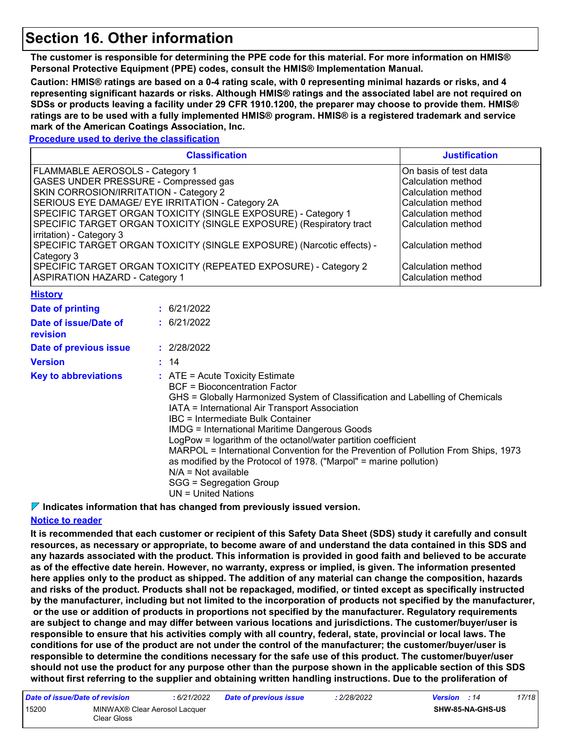### **Section 16. Other information**

**The customer is responsible for determining the PPE code for this material. For more information on HMIS® Personal Protective Equipment (PPE) codes, consult the HMIS® Implementation Manual.**

**Caution: HMIS® ratings are based on a 0-4 rating scale, with 0 representing minimal hazards or risks, and 4 representing significant hazards or risks. Although HMIS® ratings and the associated label are not required on SDSs or products leaving a facility under 29 CFR 1910.1200, the preparer may choose to provide them. HMIS® ratings are to be used with a fully implemented HMIS® program. HMIS® is a registered trademark and service mark of the American Coatings Association, Inc.**

#### **Procedure used to derive the classification**

| <b>Classification</b>                                                 | <b>Justification</b>  |
|-----------------------------------------------------------------------|-----------------------|
| FLAMMABLE AEROSOLS - Category 1                                       | On basis of test data |
| GASES UNDER PRESSURE - Compressed gas                                 | Calculation method    |
| SKIN CORROSION/IRRITATION - Category 2                                | Calculation method    |
| SERIOUS EYE DAMAGE/ EYE IRRITATION - Category 2A                      | Calculation method    |
| SPECIFIC TARGET ORGAN TOXICITY (SINGLE EXPOSURE) - Category 1         | Calculation method    |
| SPECIFIC TARGET ORGAN TOXICITY (SINGLE EXPOSURE) (Respiratory tract   | Calculation method    |
| irritation) - Category 3                                              |                       |
| SPECIFIC TARGET ORGAN TOXICITY (SINGLE EXPOSURE) (Narcotic effects) - | Calculation method    |
| Category 3                                                            |                       |
| SPECIFIC TARGET ORGAN TOXICITY (REPEATED EXPOSURE) - Category 2       | Calculation method    |
| <b>ASPIRATION HAZARD - Category 1</b>                                 | Calculation method    |

#### **History**

| Date of printing                  | : 6/21/2022                                                                                                                                                                                                                                                                                                                                                                                                                                                                                                                                                                                                                |
|-----------------------------------|----------------------------------------------------------------------------------------------------------------------------------------------------------------------------------------------------------------------------------------------------------------------------------------------------------------------------------------------------------------------------------------------------------------------------------------------------------------------------------------------------------------------------------------------------------------------------------------------------------------------------|
| Date of issue/Date of<br>revision | : 6/21/2022                                                                                                                                                                                                                                                                                                                                                                                                                                                                                                                                                                                                                |
| Date of previous issue            | : 2/28/2022                                                                                                                                                                                                                                                                                                                                                                                                                                                                                                                                                                                                                |
| <b>Version</b>                    | : 14                                                                                                                                                                                                                                                                                                                                                                                                                                                                                                                                                                                                                       |
| <b>Key to abbreviations</b>       | $\therefore$ ATE = Acute Toxicity Estimate<br><b>BCF</b> = Bioconcentration Factor<br>GHS = Globally Harmonized System of Classification and Labelling of Chemicals<br>IATA = International Air Transport Association<br>IBC = Intermediate Bulk Container<br><b>IMDG</b> = International Maritime Dangerous Goods<br>LogPow = logarithm of the octanol/water partition coefficient<br>MARPOL = International Convention for the Prevention of Pollution From Ships, 1973<br>as modified by the Protocol of 1978. ("Marpol" = marine pollution)<br>$N/A = Not available$<br>SGG = Segregation Group<br>UN = United Nations |

**Indicates information that has changed from previously issued version.**

#### **Notice to reader**

**It is recommended that each customer or recipient of this Safety Data Sheet (SDS) study it carefully and consult resources, as necessary or appropriate, to become aware of and understand the data contained in this SDS and any hazards associated with the product. This information is provided in good faith and believed to be accurate as of the effective date herein. However, no warranty, express or implied, is given. The information presented here applies only to the product as shipped. The addition of any material can change the composition, hazards and risks of the product. Products shall not be repackaged, modified, or tinted except as specifically instructed by the manufacturer, including but not limited to the incorporation of products not specified by the manufacturer, or the use or addition of products in proportions not specified by the manufacturer. Regulatory requirements are subject to change and may differ between various locations and jurisdictions. The customer/buyer/user is responsible to ensure that his activities comply with all country, federal, state, provincial or local laws. The conditions for use of the product are not under the control of the manufacturer; the customer/buyer/user is responsible to determine the conditions necessary for the safe use of this product. The customer/buyer/user should not use the product for any purpose other than the purpose shown in the applicable section of this SDS without first referring to the supplier and obtaining written handling instructions. Due to the proliferation of** 

| Date of issue/Date of revision |                                              | : 6/21/2022 | <b>Date of previous issue</b> | 2/28/2022 | <b>Version</b> : 14 |                         | 17/18 |
|--------------------------------|----------------------------------------------|-------------|-------------------------------|-----------|---------------------|-------------------------|-------|
| 15200                          | MINWAX® Clear Aerosol Lacquer<br>Clear Gloss |             |                               |           |                     | <b>SHW-85-NA-GHS-US</b> |       |